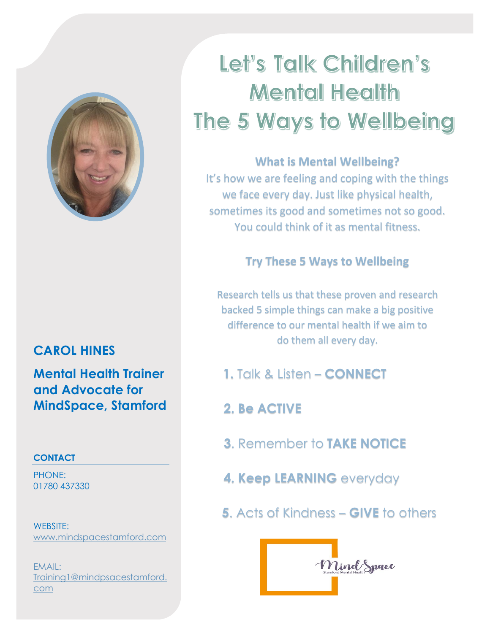

# **CAROL HINES**

**Mental Health Trainer and Advocate for MindSpace, Stamford**

### **CONTACT**

PHONE: 01780 437330

WEBSITE: [www.mindspacestamford.com](http://www.mindspacestamford.com/)

EMAIL: Training1@mindpsacestamford. com

# Let's Talk Children's **Mental Health** The 5 Ways to Wellbeing

## **What is Mental Wellbeing?**

It's how we are feeling and coping with the things we face every day. Just like physical health, sometimes its good and sometimes not so good. You could think of it as mental fitness.

## **Try These 5 Ways to Wellbeing**

Research tells us that these proven and research backed 5 simple things can make a big positive difference to our mental health if we aim to do them all every day.

- **1.** Talk & Listen **CONNECT**
- **2. Be ACTIVE**
- **3**. Remember to **TAKE NOTICE**
- **4. Keep LEARNING** everyday
- **5**. Acts of Kindness **GIVE** to others

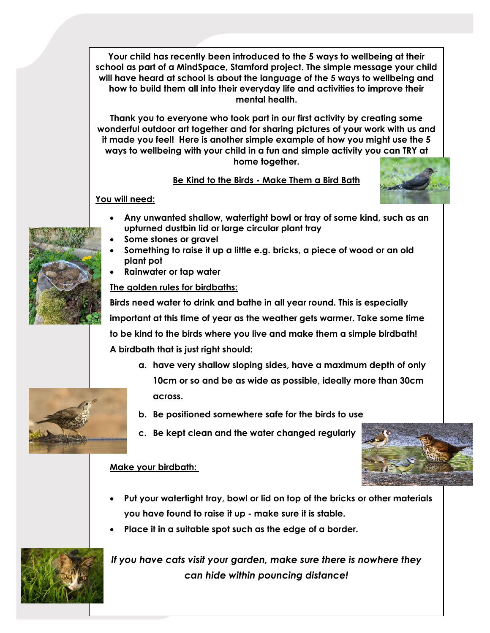**Your child has recently been introduced to the 5 ways to wellbeing at their school as part of a MindSpace, Stamford project. The simple message your child will have heard at school is about the language of the 5 ways to wellbeing and how to build them all into their everyday life and activities to improve their mental health.**

**Thank you to everyone who took part in our first activity by creating some wonderful outdoor art together and for sharing pictures of your work with us and it made you feel! Here is another simple example of how you might use the 5 ways to wellbeing with your child in a fun and simple activity you can TRY at home together.**

#### **Be Kind to the Birds - Make Them a Bird Bath**



#### **You will need:**

- **Any unwanted shallow, watertight bowl or tray of some kind, such as an upturned dustbin lid or large circular plant tray**
- **Some stones or gravel**
- **Something to raise it up a little e.g. bricks, a piece of wood or an old plant pot**
- **Rainwater or tap water**

**The golden rules for birdbaths:**

**Birds need water to drink and bathe in all year round. This is especially important at this time of year as the weather gets warmer. Take some time to be kind to the birds where you live and make them a simple birdbath! A birdbath that is just right should:**

- **a. have very shallow sloping sides, have a maximum depth of only 10cm or so and be as wide as possible, ideally more than 30cm across.**
- **b. Be positioned somewhere safe for the birds to use**
- **c. Be kept clean and the water changed regularly**

#### **Make your birdbath:**

- **Put your watertight tray, bowl or lid on top of the bricks or other materials you have found to raise it up - make sure it is stable.**
- **Place it in a suitable spot such as the edge of a border.**



*If you have cats visit your garden, make sure there is nowhere they can hide within pouncing distance!*